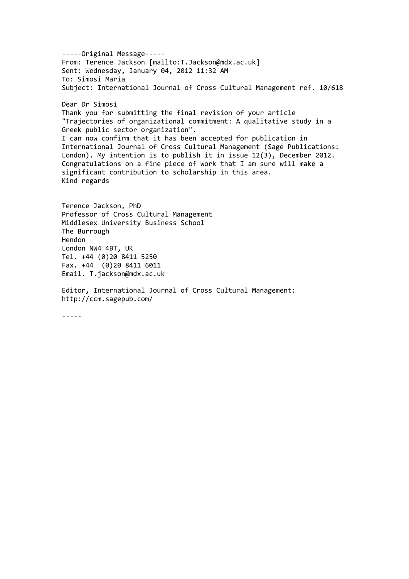-----Original Message----- From: Terence Jackson [mailto:T.Jackson@mdx.ac.uk] Sent: Wednesday, January 04, 2012 11:32 AM To: Simosi Maria Subject: International Journal of Cross Cultural Management ref. 10/618 Dear Dr Simosi Thank you for submitting the final revision of your article "Trajectories of organizational commitment: A qualitative study in a Greek public sector organization". I can now confirm that it has been accepted for publication in International Journal of Cross Cultural Management (Sage Publications: London). My intention is to publish it in issue 12(3), December 2012. Congratulations on a fine piece of work that I am sure will make a significant contribution to scholarship in this area. Kind regards Terence Jackson, PhD

Professor of Cross Cultural Management Middlesex University Business School The Burrough Hendon London NW4 4BT, UK Tel. +44 (0)20 8411 5250 Fax. +44 (0)20 8411 6011 Email. T.jackson@mdx.ac.uk

Editor, International Journal of Cross Cultural Management: http://ccm.sagepub.com/

-----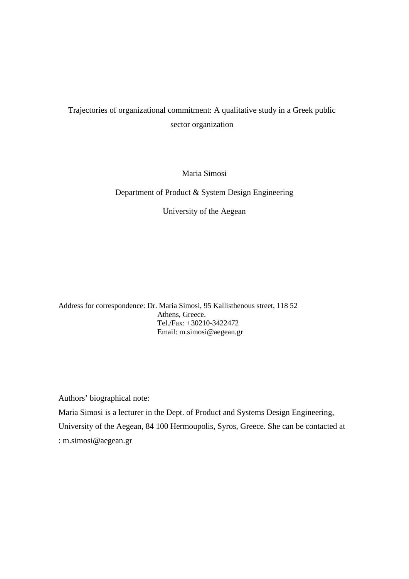## Trajectories of organizational commitment: A qualitative study in a Greek public sector organization

Maria Simosi

Department of Product & System Design Engineering

University of the Aegean

Address for correspondence: Dr. Maria Simosi, 95 Kallisthenous street, 118 52 Athens, Greece. Tel./Fax: +30210-3422472 Email: m.simosi@aegean.gr

Authors' biographical note:

Maria Simosi is a lecturer in the Dept. of Product and Systems Design Engineering, University of the Aegean, 84 100 Hermoupolis, Syros, Greece. She can be contacted at : m.simosi@aegean.gr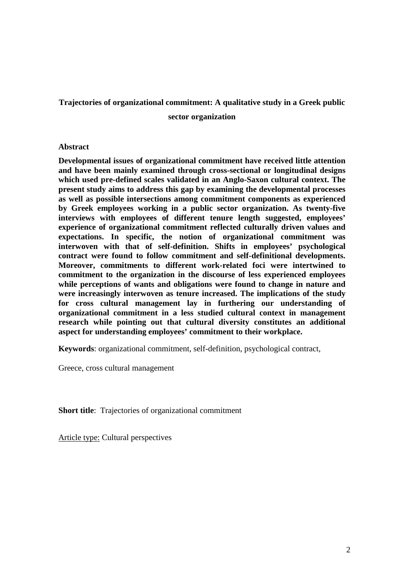## **Trajectories of organizational commitment: A qualitative study in a Greek public**

**sector organization**

## **Abstract**

**Developmental issues of organizational commitment have received little attention and have been mainly examined through cross-sectional or longitudinal designs which used pre-defined scales validated in an Anglo-Saxon cultural context. The present study aims to address this gap by examining the developmental processes as well as possible intersections among commitment components as experienced by Greek employees working in a public sector organization. As twenty-five interviews with employees of different tenure length suggested, employees' experience of organizational commitment reflected culturally driven values and expectations. In specific, the notion of organizational commitment was interwoven with that of self-definition. Shifts in employees' psychological contract were found to follow commitment and self-definitional developments. Moreover, commitments to different work-related foci were intertwined to commitment to the organization in the discourse of less experienced employees while perceptions of wants and obligations were found to change in nature and were increasingly interwoven as tenure increased. The implications of the study for cross cultural management lay in furthering our understanding of organizational commitment in a less studied cultural context in management research while pointing out that cultural diversity constitutes an additional aspect for understanding employees' commitment to their workplace.**

**Keywords**: organizational commitment, self-definition, psychological contract,

Greece, cross cultural management

**Short title**: Trajectories of organizational commitment

Article type: Cultural perspectives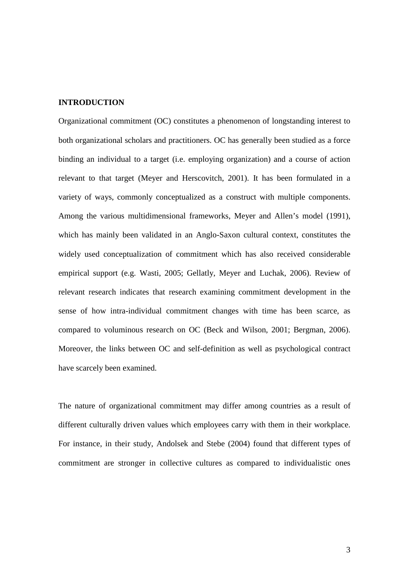## **INTRODUCTION**

Organizational commitment (OC) constitutes a phenomenon of longstanding interest to both organizational scholars and practitioners. OC has generally been studied as a force binding an individual to a target (i.e. employing organization) and a course of action relevant to that target (Meyer and Herscovitch, 2001). It has been formulated in a variety of ways, commonly conceptualized as a construct with multiple components. Among the various multidimensional frameworks, Meyer and Allen's model (1991), which has mainly been validated in an Anglo-Saxon cultural context, constitutes the widely used conceptualization of commitment which has also received considerable empirical support (e.g. Wasti, 2005; Gellatly, Meyer and Luchak, 2006). Review of relevant research indicates that research examining commitment development in the sense of how intra-individual commitment changes with time has been scarce, as compared to voluminous research on OC (Beck and Wilson, 2001; Bergman, 2006). Moreover, the links between OC and self-definition as well as psychological contract have scarcely been examined.

The nature of organizational commitment may differ among countries as a result of different culturally driven values which employees carry with them in their workplace. For instance, in their study, Andolsek and Stebe (2004) found that different types of commitment are stronger in collective cultures as compared to individualistic ones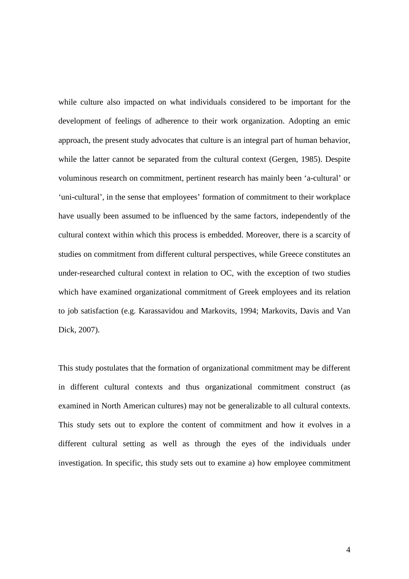while culture also impacted on what individuals considered to be important for the development of feelings of adherence to their work organization. Adopting an emic approach, the present study advocates that culture is an integral part of human behavior, while the latter cannot be separated from the cultural context (Gergen, 1985). Despite voluminous research on commitment, pertinent research has mainly been 'a-cultural' or 'uni-cultural', in the sense that employees' formation of commitment to their workplace have usually been assumed to be influenced by the same factors, independently of the cultural context within which this process is embedded. Moreover, there is a scarcity of studies on commitment from different cultural perspectives, while Greece constitutes an under-researched cultural context in relation to OC, with the exception of two studies which have examined organizational commitment of Greek employees and its relation to job satisfaction (e.g. Karassavidou and Markovits, 1994; Markovits, Davis and Van Dick, 2007).

This study postulates that the formation of organizational commitment may be different in different cultural contexts and thus organizational commitment construct (as examined in North American cultures) may not be generalizable to all cultural contexts. This study sets out to explore the content of commitment and how it evolves in a different cultural setting as well as through the eyes of the individuals under investigation. In specific, this study sets out to examine a) how employee commitment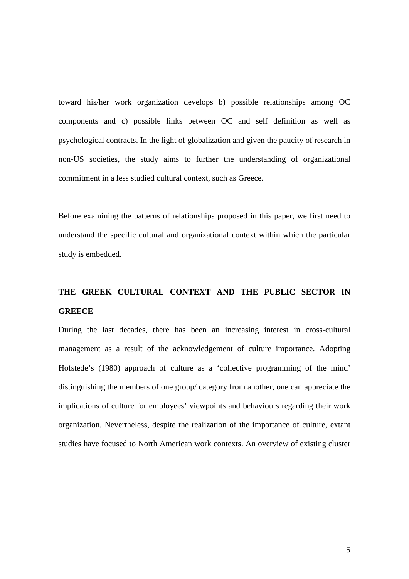toward his/her work organization develops b) possible relationships among OC components and c) possible links between OC and self definition as well as psychological contracts. In the light of globalization and given the paucity of research in non-US societies, the study aims to further the understanding of organizational commitment in a less studied cultural context, such as Greece.

Before examining the patterns of relationships proposed in this paper, we first need to understand the specific cultural and organizational context within which the particular study is embedded.

# **THE GREEK CULTURAL CONTEXT AND THE PUBLIC SECTOR IN GREECE**

During the last decades, there has been an increasing interest in cross-cultural management as a result of the acknowledgement of culture importance. Adopting Hofstede's (1980) approach of culture as a 'collective programming of the mind' distinguishing the members of one group/ category from another, one can appreciate the implications of culture for employees' viewpoints and behaviours regarding their work organization. Nevertheless, despite the realization of the importance of culture, extant studies have focused to North American work contexts. An overview of existing cluster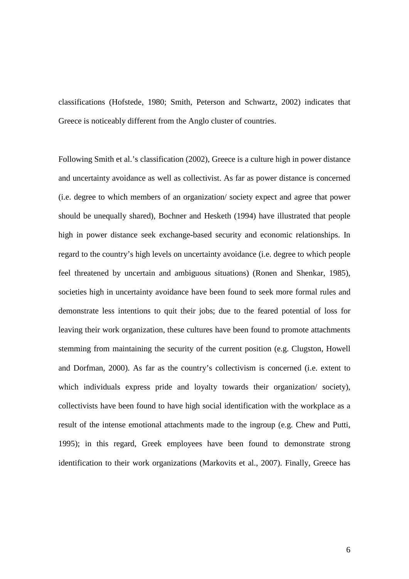classifications (Hofstede, 1980; Smith, Peterson and Schwartz, 2002) indicates that Greece is noticeably different from the Anglo cluster of countries.

Following Smith et al.'s classification (2002), Greece is a culture high in power distance and uncertainty avoidance as well as collectivist. As far as power distance is concerned (i.e. degree to which members of an organization/ society expect and agree that power should be unequally shared), Bochner and Hesketh (1994) have illustrated that people high in power distance seek exchange-based security and economic relationships. In regard to the country's high levels on uncertainty avoidance (i.e. degree to which people feel threatened by uncertain and ambiguous situations) (Ronen and Shenkar, 1985), societies high in uncertainty avoidance have been found to seek more formal rules and demonstrate less intentions to quit their jobs; due to the feared potential of loss for leaving their work organization, these cultures have been found to promote attachments stemming from maintaining the security of the current position (e.g. Clugston, Howell and Dorfman, 2000). As far as the country's collectivism is concerned (i.e. extent to which individuals express pride and loyalty towards their organization/ society), collectivists have been found to have high social identification with the workplace as a result of the intense emotional attachments made to the ingroup (e.g. Chew and Putti, 1995); in this regard, Greek employees have been found to demonstrate strong identification to their work organizations (Markovits et al., 2007). Finally, Greece has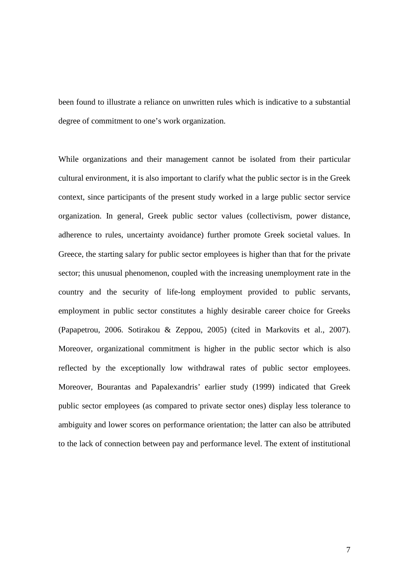been found to illustrate a reliance on unwritten rules which is indicative to a substantial degree of commitment to one's work organization.

While organizations and their management cannot be isolated from their particular cultural environment, it is also important to clarify what the public sector is in the Greek context, since participants of the present study worked in a large public sector service organization. In general, Greek public sector values (collectivism, power distance, adherence to rules, uncertainty avoidance) further promote Greek societal values. In Greece, the starting salary for public sector employees is higher than that for the private sector; this unusual phenomenon, coupled with the increasing unemployment rate in the country and the security of life-long employment provided to public servants, employment in public sector constitutes a highly desirable career choice for Greeks (Papapetrou, 2006. Sotirakou & Zeppou, 2005) (cited in Markovits et al., 2007). Moreover, organizational commitment is higher in the public sector which is also reflected by the exceptionally low withdrawal rates of public sector employees. Moreover, Bourantas and Papalexandris' earlier study (1999) indicated that Greek public sector employees (as compared to private sector ones) display less tolerance to ambiguity and lower scores on performance orientation; the latter can also be attributed to the lack of connection between pay and performance level. The extent of institutional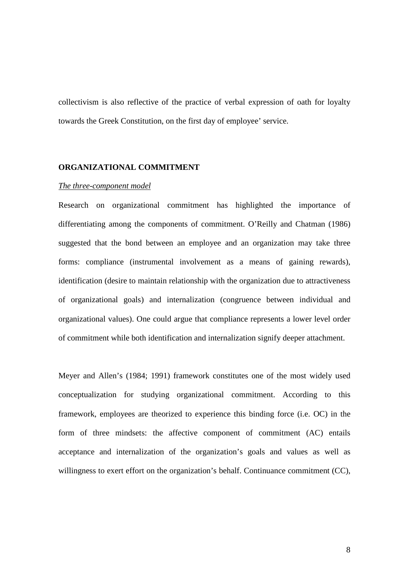collectivism is also reflective of the practice of verbal expression of oath for loyalty towards the Greek Constitution, on the first day of employee' service.

## **ORGANIZATIONAL COMMITMENT**

#### *The three-component model*

Research on organizational commitment has highlighted the importance of differentiating among the components of commitment. O'Reilly and Chatman (1986) suggested that the bond between an employee and an organization may take three forms: compliance (instrumental involvement as a means of gaining rewards), identification (desire to maintain relationship with the organization due to attractiveness of organizational goals) and internalization (congruence between individual and organizational values). One could argue that compliance represents a lower level order of commitment while both identification and internalization signify deeper attachment.

Meyer and Allen's (1984; 1991) framework constitutes one of the most widely used conceptualization for studying organizational commitment. According to this framework, employees are theorized to experience this binding force (i.e. OC) in the form of three mindsets: the affective component of commitment (AC) entails acceptance and internalization of the organization's goals and values as well as willingness to exert effort on the organization's behalf. Continuance commitment (CC),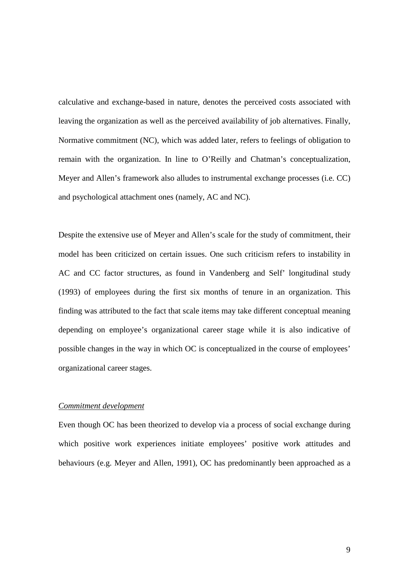calculative and exchange-based in nature, denotes the perceived costs associated with leaving the organization as well as the perceived availability of job alternatives. Finally, Normative commitment (NC), which was added later, refers to feelings of obligation to remain with the organization. In line to O'Reilly and Chatman's conceptualization, Meyer and Allen's framework also alludes to instrumental exchange processes (i.e. CC) and psychological attachment ones (namely, AC and NC).

Despite the extensive use of Meyer and Allen's scale for the study of commitment, their model has been criticized on certain issues. One such criticism refers to instability in AC and CC factor structures, as found in Vandenberg and Self' longitudinal study (1993) of employees during the first six months of tenure in an organization. This finding was attributed to the fact that scale items may take different conceptual meaning depending on employee's organizational career stage while it is also indicative of possible changes in the way in which OC is conceptualized in the course of employees' organizational career stages.

## *Commitment development*

Even though OC has been theorized to develop via a process of social exchange during which positive work experiences initiate employees' positive work attitudes and behaviours (e.g. Meyer and Allen, 1991), OC has predominantly been approached as a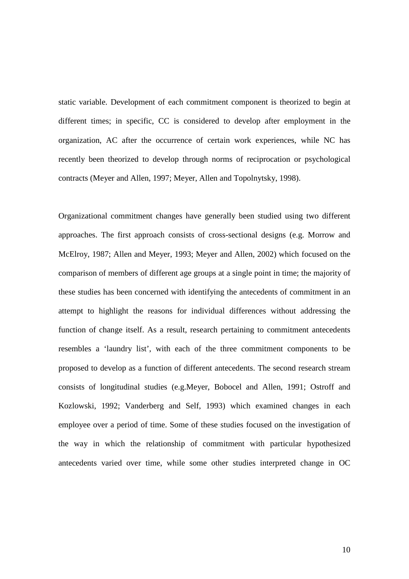static variable. Development of each commitment component is theorized to begin at different times; in specific, CC is considered to develop after employment in the organization, AC after the occurrence of certain work experiences, while NC has recently been theorized to develop through norms of reciprocation or psychological contracts (Meyer and Allen, 1997; Meyer, Allen and Topolnytsky, 1998).

Organizational commitment changes have generally been studied using two different approaches. The first approach consists of cross-sectional designs (e.g. Morrow and McElroy, 1987; Allen and Meyer, 1993; Meyer and Allen, 2002) which focused on the comparison of members of different age groups at a single point in time; the majority of these studies has been concerned with identifying the antecedents of commitment in an attempt to highlight the reasons for individual differences without addressing the function of change itself. As a result, research pertaining to commitment antecedents resembles a 'laundry list', with each of the three commitment components to be proposed to develop as a function of different antecedents. The second research stream consists of longitudinal studies (e.g.Meyer, Bobocel and Allen, 1991; Ostroff and Kozlowski, 1992; Vanderberg and Self, 1993) which examined changes in each employee over a period of time. Some of these studies focused on the investigation of the way in which the relationship of commitment with particular hypothesized antecedents varied over time, while some other studies interpreted change in OC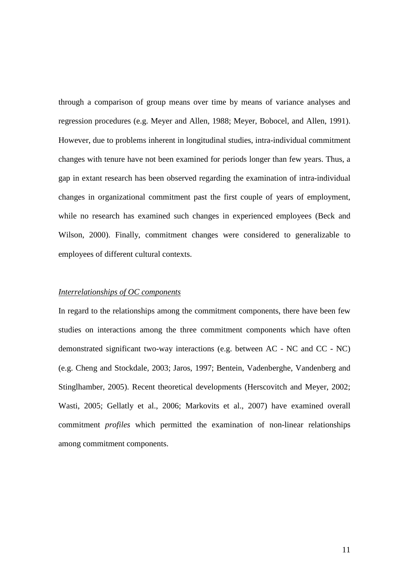through a comparison of group means over time by means of variance analyses and regression procedures (e.g. Meyer and Allen, 1988; Meyer, Bobocel, and Allen, 1991). However, due to problems inherent in longitudinal studies, intra-individual commitment changes with tenure have not been examined for periods longer than few years. Thus, a gap in extant research has been observed regarding the examination of intra-individual changes in organizational commitment past the first couple of years of employment, while no research has examined such changes in experienced employees (Beck and Wilson, 2000). Finally, commitment changes were considered to generalizable to employees of different cultural contexts.

## *Interrelationships of OC components*

In regard to the relationships among the commitment components, there have been few studies on interactions among the three commitment components which have often demonstrated significant two-way interactions (e.g. between AC - NC and CC - NC) (e.g. Cheng and Stockdale, 2003; Jaros, 1997; Bentein, Vadenberghe, Vandenberg and Stinglhamber, 2005). Recent theoretical developments (Herscovitch and Meyer, 2002; Wasti, 2005; Gellatly et al., 2006; Markovits et al., 2007) have examined overall commitment *profiles* which permitted the examination of non-linear relationships among commitment components.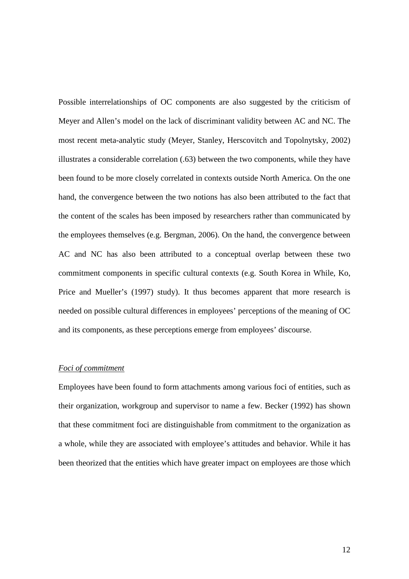Possible interrelationships of OC components are also suggested by the criticism of Meyer and Allen's model on the lack of discriminant validity between AC and NC. The most recent meta-analytic study (Meyer, Stanley, Herscovitch and Topolnytsky, 2002) illustrates a considerable correlation (.63) between the two components, while they have been found to be more closely correlated in contexts outside North America. On the one hand, the convergence between the two notions has also been attributed to the fact that the content of the scales has been imposed by researchers rather than communicated by the employees themselves (e.g. Bergman, 2006). On the hand, the convergence between AC and NC has also been attributed to a conceptual overlap between these two commitment components in specific cultural contexts (e.g. South Korea in While, Ko, Price and Mueller's (1997) study). It thus becomes apparent that more research is needed on possible cultural differences in employees' perceptions of the meaning of OC and its components, as these perceptions emerge from employees' discourse.

## *Foci of commitment*

Employees have been found to form attachments among various foci of entities, such as their organization, workgroup and supervisor to name a few. Becker (1992) has shown that these commitment foci are distinguishable from commitment to the organization as a whole, while they are associated with employee's attitudes and behavior. While it has been theorized that the entities which have greater impact on employees are those which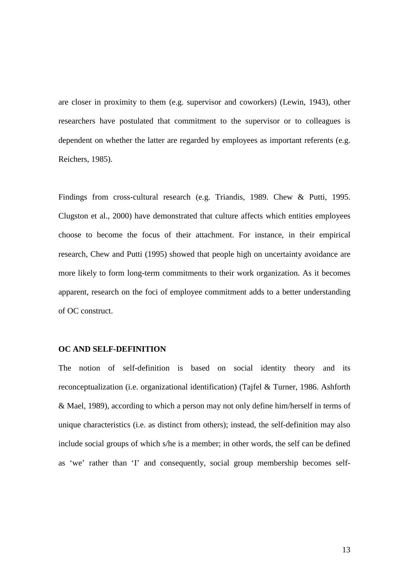are closer in proximity to them (e.g. supervisor and coworkers) (Lewin, 1943), other researchers have postulated that commitment to the supervisor or to colleagues is dependent on whether the latter are regarded by employees as important referents (e.g. Reichers, 1985).

Findings from cross-cultural research (e.g. Triandis, 1989. Chew & Putti, 1995. Clugston et al., 2000) have demonstrated that culture affects which entities employees choose to become the focus of their attachment. For instance, in their empirical research, Chew and Putti (1995) showed that people high on uncertainty avoidance are more likely to form long-term commitments to their work organization. As it becomes apparent, research on the foci of employee commitment adds to a better understanding of OC construct.

#### **OC AND SELF-DEFINITION**

The notion of self-definition is based on social identity theory and its reconceptualization (i.e. organizational identification) (Tajfel & Turner, 1986. Ashforth & Mael, 1989), according to which a person may not only define him/herself in terms of unique characteristics (i.e. as distinct from others); instead, the self-definition may also include social groups of which s/he is a member; in other words, the self can be defined as 'we' rather than 'I' and consequently, social group membership becomes self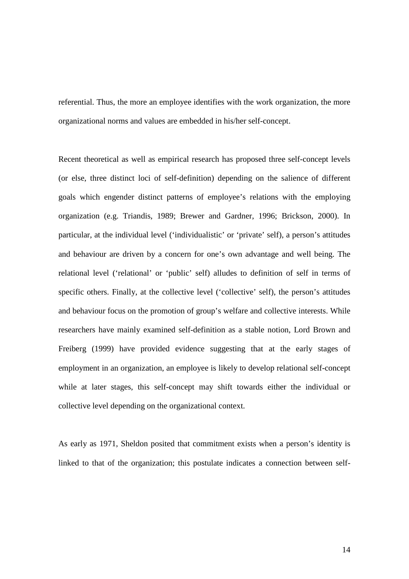referential. Thus, the more an employee identifies with the work organization, the more organizational norms and values are embedded in his/her self-concept.

Recent theoretical as well as empirical research has proposed three self-concept levels (or else, three distinct loci of self-definition) depending on the salience of different goals which engender distinct patterns of employee's relations with the employing organization (e.g. Triandis, 1989; Brewer and Gardner, 1996; Brickson, 2000). In particular, at the individual level ('individualistic' or 'private' self), a person's attitudes and behaviour are driven by a concern for one's own advantage and well being. The relational level ('relational' or 'public' self) alludes to definition of self in terms of specific others. Finally, at the collective level ('collective' self), the person's attitudes and behaviour focus on the promotion of group's welfare and collective interests. While researchers have mainly examined self-definition as a stable notion, Lord Brown and Freiberg (1999) have provided evidence suggesting that at the early stages of employment in an organization, an employee is likely to develop relational self-concept while at later stages, this self-concept may shift towards either the individual or collective level depending on the organizational context.

As early as 1971, Sheldon posited that commitment exists when a person's identity is linked to that of the organization; this postulate indicates a connection between self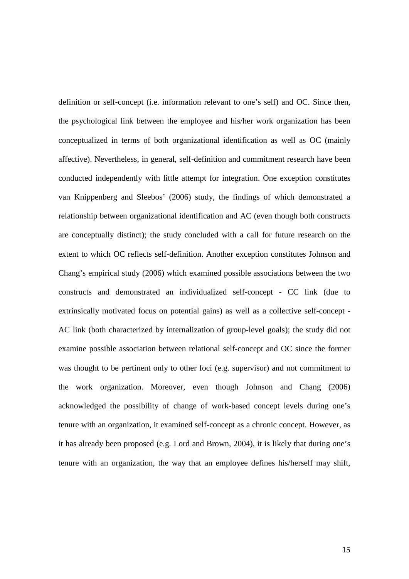definition or self-concept (i.e. information relevant to one's self) and OC. Since then, the psychological link between the employee and his/her work organization has been conceptualized in terms of both organizational identification as well as OC (mainly affective). Nevertheless, in general, self-definition and commitment research have been conducted independently with little attempt for integration. One exception constitutes van Knippenberg and Sleebos' (2006) study, the findings of which demonstrated a relationship between organizational identification and AC (even though both constructs are conceptually distinct); the study concluded with a call for future research on the extent to which OC reflects self-definition. Another exception constitutes Johnson and Chang's empirical study (2006) which examined possible associations between the two constructs and demonstrated an individualized self-concept - CC link (due to extrinsically motivated focus on potential gains) as well as a collective self-concept - AC link (both characterized by internalization of group-level goals); the study did not examine possible association between relational self-concept and OC since the former was thought to be pertinent only to other foci (e.g. supervisor) and not commitment to the work organization. Moreover, even though Johnson and Chang (2006) acknowledged the possibility of change of work-based concept levels during one's tenure with an organization, it examined self-concept as a chronic concept. However, as it has already been proposed (e.g. Lord and Brown, 2004), it is likely that during one's tenure with an organization, the way that an employee defines his/herself may shift,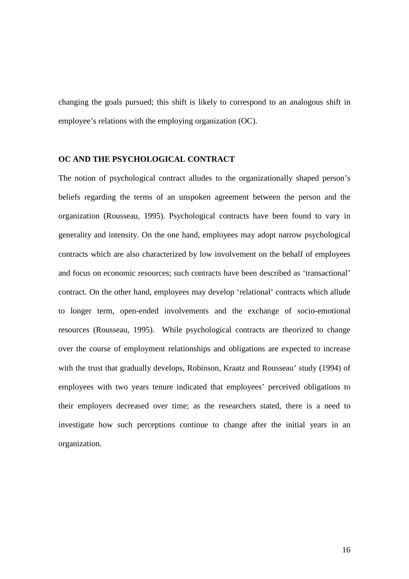changing the goals pursued; this shift is likely to correspond to an analogous shift in employee's relations with the employing organization (OC).

## **OC AND THE PSYCHOLOGICAL CONTRACT**

The notion of psychological contract alludes to the organizationally shaped person's beliefs regarding the terms of an unspoken agreement between the person and the organization (Rousseau, 1995). Psychological contracts have been found to vary in generality and intensity. On the one hand, employees may adopt narrow psychological contracts which are also characterized by low involvement on the behalf of employees and focus on economic resources; such contracts have been described as 'transactional' contract. On the other hand, employees may develop 'relational' contracts which allude to longer term, open-ended involvements and the exchange of socio-emotional resources (Rousseau, 1995). While psychological contracts are theorized to change over the course of employment relationships and obligations are expected to increase with the trust that gradually develops, Robinson, Kraatz and Rousseau' study (1994) of employees with two years tenure indicated that employees' perceived obligations to their employers decreased over time; as the researchers stated, there is a need to investigate how such perceptions continue to change after the initial years in an organization.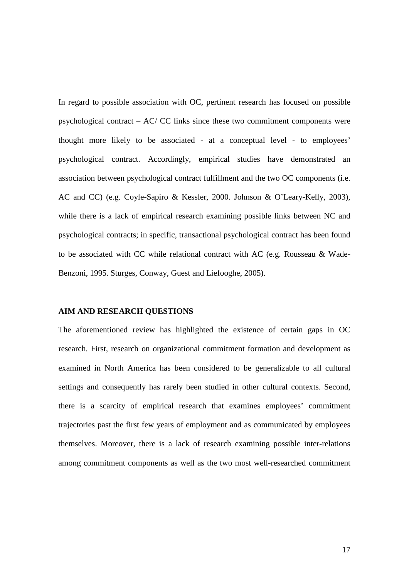In regard to possible association with OC, pertinent research has focused on possible psychological contract – AC/ CC links since these two commitment components were thought more likely to be associated - at a conceptual level - to employees' psychological contract. Accordingly, empirical studies have demonstrated an association between psychological contract fulfillment and the two OC components (i.e. AC and CC) (e.g. Coyle-Sapiro & Kessler, 2000. Johnson & O'Leary-Kelly, 2003), while there is a lack of empirical research examining possible links between NC and psychological contracts; in specific, transactional psychological contract has been found to be associated with CC while relational contract with AC (e.g. Rousseau & Wade-Benzoni, 1995. Sturges, Conway, Guest and Liefooghe, 2005).

#### **AIM AND RESEARCH QUESTIONS**

The aforementioned review has highlighted the existence of certain gaps in OC research. First, research on organizational commitment formation and development as examined in North America has been considered to be generalizable to all cultural settings and consequently has rarely been studied in other cultural contexts. Second, there is a scarcity of empirical research that examines employees' commitment trajectories past the first few years of employment and as communicated by employees themselves. Moreover, there is a lack of research examining possible inter-relations among commitment components as well as the two most well-researched commitment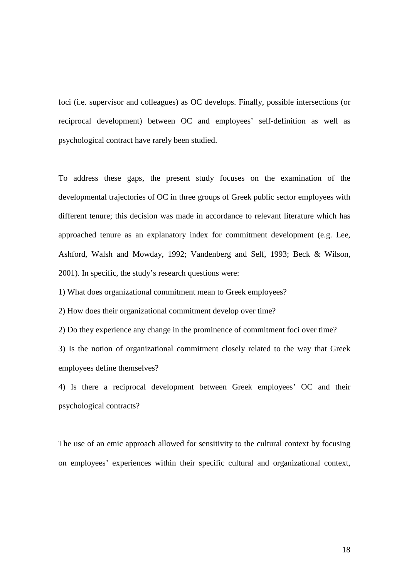foci (i.e. supervisor and colleagues) as OC develops. Finally, possible intersections (or reciprocal development) between OC and employees' self-definition as well as psychological contract have rarely been studied.

To address these gaps, the present study focuses on the examination of the developmental trajectories of OC in three groups of Greek public sector employees with different tenure; this decision was made in accordance to relevant literature which has approached tenure as an explanatory index for commitment development (e.g. Lee, Ashford, Walsh and Mowday, 1992; Vandenberg and Self, 1993; Beck & Wilson, 2001). In specific, the study's research questions were:

1) What does organizational commitment mean to Greek employees?

2) How does their organizational commitment develop over time?

2) Do they experience any change in the prominence of commitment foci over time?

3) Is the notion of organizational commitment closely related to the way that Greek employees define themselves?

4) Is there a reciprocal development between Greek employees' OC and their psychological contracts?

The use of an emic approach allowed for sensitivity to the cultural context by focusing on employees' experiences within their specific cultural and organizational context,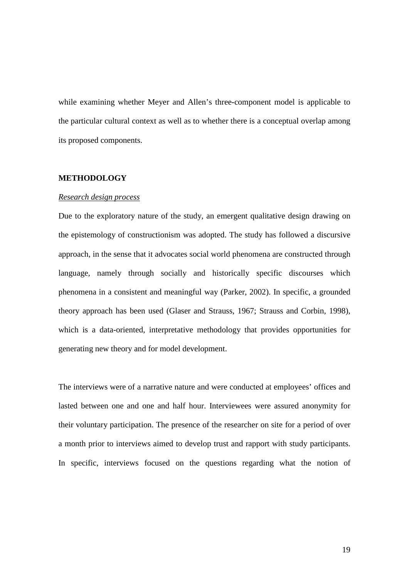while examining whether Meyer and Allen's three-component model is applicable to the particular cultural context as well as to whether there is a conceptual overlap among its proposed components.

## **METHODOLOGY**

#### *Research design process*

Due to the exploratory nature of the study, an emergent qualitative design drawing on the epistemology of constructionism was adopted. The study has followed a discursive approach, in the sense that it advocates social world phenomena are constructed through language, namely through socially and historically specific discourses which phenomena in a consistent and meaningful way (Parker, 2002). In specific, a grounded theory approach has been used (Glaser and Strauss, 1967; Strauss and Corbin, 1998), which is a data-oriented, interpretative methodology that provides opportunities for generating new theory and for model development.

The interviews were of a narrative nature and were conducted at employees' offices and lasted between one and one and half hour. Interviewees were assured anonymity for their voluntary participation. The presence of the researcher on site for a period of over a month prior to interviews aimed to develop trust and rapport with study participants. In specific, interviews focused on the questions regarding what the notion of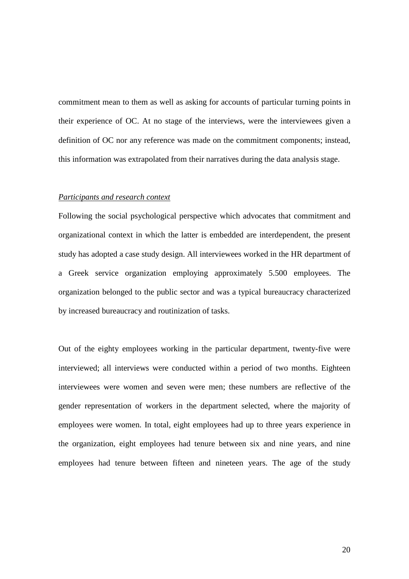commitment mean to them as well as asking for accounts of particular turning points in their experience of OC. At no stage of the interviews, were the interviewees given a definition of OC nor any reference was made on the commitment components; instead, this information was extrapolated from their narratives during the data analysis stage.

#### *Participants and research context*

Following the social psychological perspective which advocates that commitment and organizational context in which the latter is embedded are interdependent, the present study has adopted a case study design. All interviewees worked in the HR department of a Greek service organization employing approximately 5.500 employees. The organization belonged to the public sector and was a typical bureaucracy characterized by increased bureaucracy and routinization of tasks.

Out of the eighty employees working in the particular department, twenty-five were interviewed; all interviews were conducted within a period of two months. Eighteen interviewees were women and seven were men; these numbers are reflective of the gender representation of workers in the department selected, where the majority of employees were women. In total, eight employees had up to three years experience in the organization, eight employees had tenure between six and nine years, and nine employees had tenure between fifteen and nineteen years. The age of the study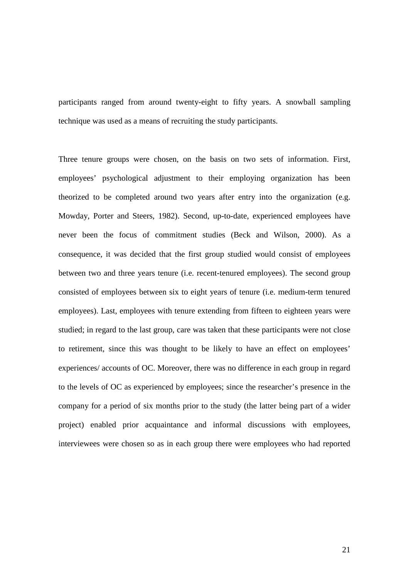participants ranged from around twenty-eight to fifty years. A snowball sampling technique was used as a means of recruiting the study participants.

Three tenure groups were chosen, on the basis on two sets of information. First, employees' psychological adjustment to their employing organization has been theorized to be completed around two years after entry into the organization (e.g. Mowday, Porter and Steers, 1982). Second, up-to-date, experienced employees have never been the focus of commitment studies (Beck and Wilson, 2000). As a consequence, it was decided that the first group studied would consist of employees between two and three years tenure (i.e. recent-tenured employees). The second group consisted of employees between six to eight years of tenure (i.e. medium-term tenured employees). Last, employees with tenure extending from fifteen to eighteen years were studied; in regard to the last group, care was taken that these participants were not close to retirement, since this was thought to be likely to have an effect on employees' experiences/ accounts of OC. Moreover, there was no difference in each group in regard to the levels of OC as experienced by employees; since the researcher's presence in the company for a period of six months prior to the study (the latter being part of a wider project) enabled prior acquaintance and informal discussions with employees, interviewees were chosen so as in each group there were employees who had reported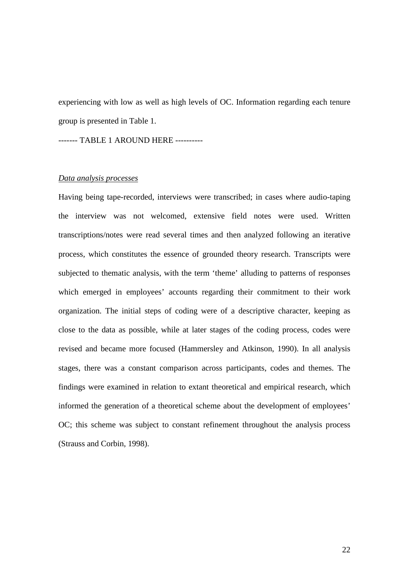experiencing with low as well as high levels of OC. Information regarding each tenure group is presented in Table 1.

------- TABLE 1 AROUND HERE ----------

#### *Data analysis processes*

Having being tape-recorded, interviews were transcribed; in cases where audio-taping the interview was not welcomed, extensive field notes were used. Written transcriptions/notes were read several times and then analyzed following an iterative process, which constitutes the essence of grounded theory research. Transcripts were subjected to thematic analysis, with the term 'theme' alluding to patterns of responses which emerged in employees' accounts regarding their commitment to their work organization. The initial steps of coding were of a descriptive character, keeping as close to the data as possible, while at later stages of the coding process, codes were revised and became more focused (Hammersley and Atkinson, 1990). In all analysis stages, there was a constant comparison across participants, codes and themes. The findings were examined in relation to extant theoretical and empirical research, which informed the generation of a theoretical scheme about the development of employees' OC; this scheme was subject to constant refinement throughout the analysis process (Strauss and Corbin, 1998).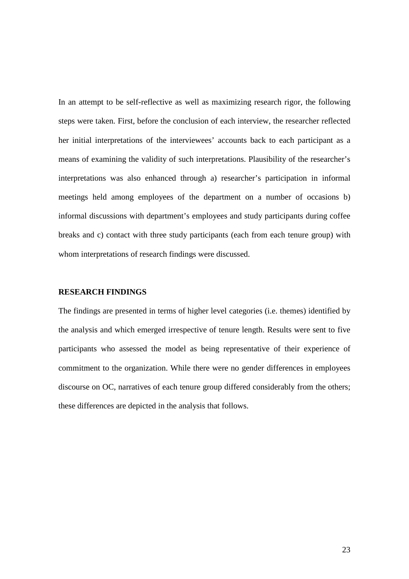In an attempt to be self-reflective as well as maximizing research rigor, the following steps were taken. First, before the conclusion of each interview, the researcher reflected her initial interpretations of the interviewees' accounts back to each participant as a means of examining the validity of such interpretations. Plausibility of the researcher's interpretations was also enhanced through a) researcher's participation in informal meetings held among employees of the department on a number of occasions b) informal discussions with department's employees and study participants during coffee breaks and c) contact with three study participants (each from each tenure group) with whom interpretations of research findings were discussed.

#### **RESEARCH FINDINGS**

The findings are presented in terms of higher level categories (i.e. themes) identified by the analysis and which emerged irrespective of tenure length. Results were sent to five participants who assessed the model as being representative of their experience of commitment to the organization. While there were no gender differences in employees discourse on OC, narratives of each tenure group differed considerably from the others; these differences are depicted in the analysis that follows.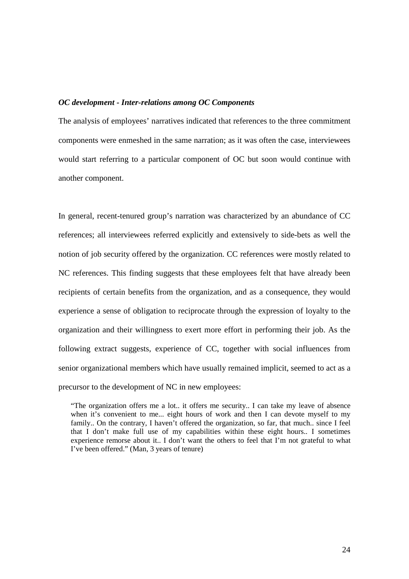#### *OC development - Inter-relations among OC Components*

The analysis of employees' narratives indicated that references to the three commitment components were enmeshed in the same narration; as it was often the case, interviewees would start referring to a particular component of OC but soon would continue with another component.

In general, recent-tenured group's narration was characterized by an abundance of CC references; all interviewees referred explicitly and extensively to side-bets as well the notion of job security offered by the organization. CC references were mostly related to NC references. This finding suggests that these employees felt that have already been recipients of certain benefits from the organization, and as a consequence, they would experience a sense of obligation to reciprocate through the expression of loyalty to the organization and their willingness to exert more effort in performing their job. As the following extract suggests, experience of CC, together with social influences from senior organizational members which have usually remained implicit, seemed to act as a precursor to the development of NC in new employees:

"The organization offers me a lot.. it offers me security.. I can take my leave of absence when it's convenient to me... eight hours of work and then I can devote myself to my family.. On the contrary, I haven't offered the organization, so far, that much.. since I feel that I don't make full use of my capabilities within these eight hours.. I sometimes experience remorse about it.. I don't want the others to feel that I'm not grateful to what I've been offered." (Man, 3 years of tenure)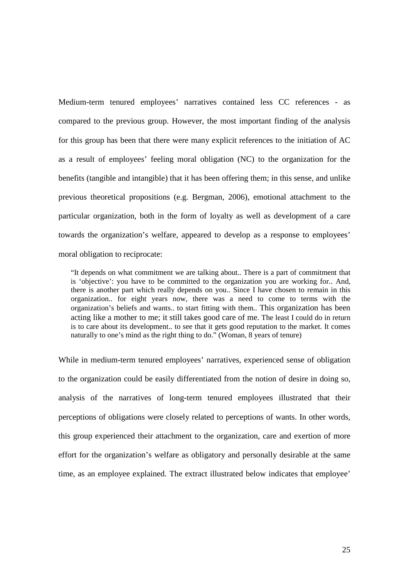Medium-term tenured employees' narratives contained less CC references - as compared to the previous group. However, the most important finding of the analysis for this group has been that there were many explicit references to the initiation of AC as a result of employees' feeling moral obligation (NC) to the organization for the benefits (tangible and intangible) that it has been offering them; in this sense, and unlike previous theoretical propositions (e.g. Bergman, 2006), emotional attachment to the particular organization, both in the form of loyalty as well as development of a care towards the organization's welfare, appeared to develop as a response to employees' moral obligation to reciprocate:

"It depends on what commitment we are talking about.. There is a part of commitment that is 'objective': you have to be committed to the organization you are working for.. And, there is another part which really depends on you.. Since Ι have chosen to remain in this organization.. for eight years now, there was a need to come to terms with the organization's beliefs and wants.. to start fitting with them.. This organization has been acting like a mother to me; it still takes good care of me. The least I could do in return is to care about its development.. to see that it gets good reputation to the market. It comes naturally to one's mind as the right thing to do." (Woman, 8 years of tenure)

While in medium-term tenured employees' narratives, experienced sense of obligation to the organization could be easily differentiated from the notion of desire in doing so, analysis of the narratives of long-term tenured employees illustrated that their perceptions of obligations were closely related to perceptions of wants. In other words, this group experienced their attachment to the organization, care and exertion of more effort for the organization's welfare as obligatory and personally desirable at the same time, as an employee explained. The extract illustrated below indicates that employee'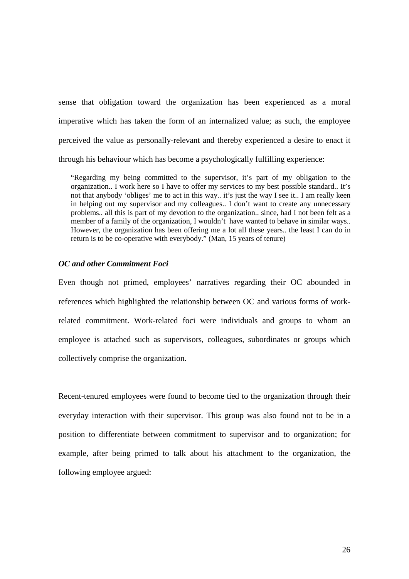sense that obligation toward the organization has been experienced as a moral imperative which has taken the form of an internalized value; as such, the employee perceived the value as personally-relevant and thereby experienced a desire to enact it through his behaviour which has become a psychologically fulfilling experience:

"Regarding my being committed to the supervisor, it's part of my obligation to the organization.. I work here so I have to offer my services to my best possible standard.. It's not that anybody 'obliges' me to act in this way.. it's just the way I see it.. I am really keen in helping out my supervisor and my colleagues.. I don't want to create any unnecessary problems.. all this is part of my devotion to the organization.. since, had I not been felt as a member of a family of the organization, I wouldn't have wanted to behave in similar ways.. However, the organization has been offering me a lot all these years.. the least I can do in return is to be co-operative with everybody." (Man, 15 years of tenure)

## *OC and other Commitment Foci*

Even though not primed, employees' narratives regarding their OC abounded in references which highlighted the relationship between OC and various forms of workrelated commitment. Work-related foci were individuals and groups to whom an employee is attached such as supervisors, colleagues, subordinates or groups which collectively comprise the organization.

Recent-tenured employees were found to become tied to the organization through their everyday interaction with their supervisor. This group was also found not to be in a position to differentiate between commitment to supervisor and to organization; for example, after being primed to talk about his attachment to the organization, the following employee argued: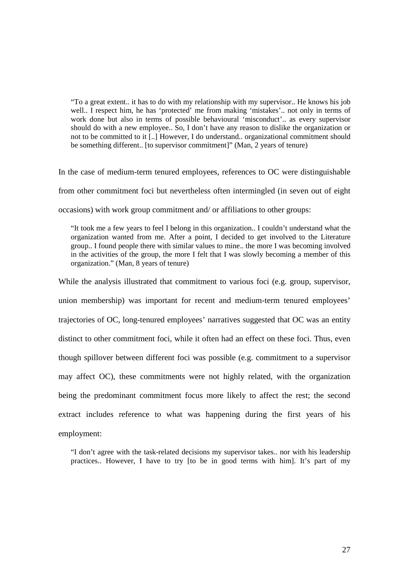"To a great extent.. it has to do with my relationship with my supervisor.. He knows his job well.. I respect him, he has 'protected' me from making 'mistakes'.. not only in terms of work done but also in terms of possible behavioural 'misconduct'.. as every supervisor should do with a new employee.. So, I don't have any reason to dislike the organization or not to be committed to it [..] However, I do understand.. organizational commitment should be something different.. [to supervisor commitment]" (Man, 2 years of tenure)

In the case of medium-term tenured employees, references to OC were distinguishable from other commitment foci but nevertheless often intermingled (in seven out of eight occasions) with work group commitment and/ or affiliations to other groups:

"It took me a few years to feel I belong in this organization.. I couldn't understand what the organization wanted from me. After a point, I decided to get involved to the Literature group.. I found people there with similar values to mine.. the more I was becoming involved in the activities of the group, the more I felt that I was slowly becoming a member of this organization." (Man, 8 years of tenure)

While the analysis illustrated that commitment to various foci (e.g. group, supervisor, union membership) was important for recent and medium-term tenured employees' trajectories of OC, long-tenured employees' narratives suggested that OC was an entity distinct to other commitment foci, while it often had an effect on these foci. Thus, even though spillover between different foci was possible (e.g. commitment to a supervisor may affect OC), these commitments were not highly related, with the organization being the predominant commitment focus more likely to affect the rest; the second extract includes reference to what was happening during the first years of his employment:

"I don't agree with the task-related decisions my supervisor takes.. nor with his leadership practices.. However, I have to try [to be in good terms with him]. It's part of my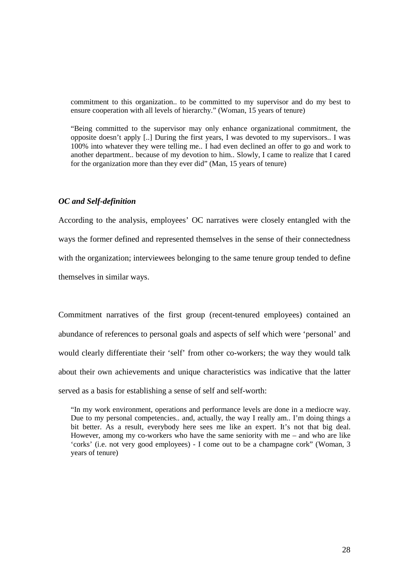commitment to this organization.. to be committed to my supervisor and do my best to ensure cooperation with all levels of hierarchy." (Woman, 15 years of tenure)

"Being committed to the supervisor may only enhance organizational commitment, the opposite doesn't apply [..] During the first years, I was devoted to my supervisors.. I was 100% into whatever they were telling me.. I had even declined an offer to go and work to another department.. because of my devotion to him.. Slowly, I came to realize that I cared for the organization more than they ever did" (Man, 15 years of tenure)

#### *OC and Self-definition*

According to the analysis, employees' OC narratives were closely entangled with the ways the former defined and represented themselves in the sense of their connectedness with the organization; interviewees belonging to the same tenure group tended to define themselves in similar ways.

Commitment narratives of the first group (recent-tenured employees) contained an abundance of references to personal goals and aspects of self which were 'personal' and would clearly differentiate their 'self' from other co-workers; the way they would talk about their own achievements and unique characteristics was indicative that the latter served as a basis for establishing a sense of self and self-worth:

"In my work environment, operations and performance levels are done in a mediocre way. Due to my personal competencies.. and, actually, the way I really am.. I'm doing things a bit better. As a result, everybody here sees me like an expert. It's not that big deal. However, among my co-workers who have the same seniority with me – and who are like 'corks' (i.e. not very good employees) - I come out to be a champagne cork" (Woman, 3 years of tenure)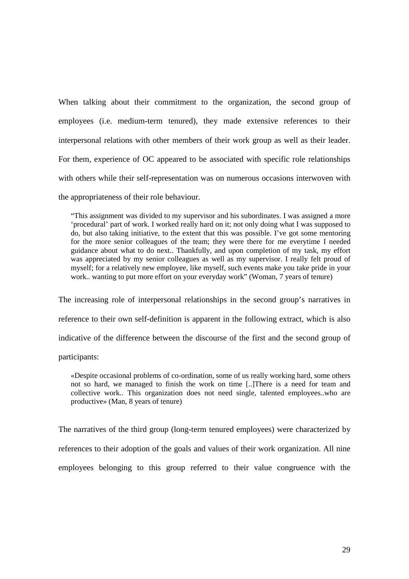When talking about their commitment to the organization, the second group of employees (i.e. medium-term tenured), they made extensive references to their interpersonal relations with other members of their work group as well as their leader. For them, experience of OC appeared to be associated with specific role relationships with others while their self-representation was on numerous occasions interwoven with the appropriateness of their role behaviour.

"This assignment was divided to my supervisor and his subordinates. I was assigned a more 'procedural' part of work. I worked really hard on it; not only doing what I was supposed to do, but also taking initiative, to the extent that this was possible. I've got some mentoring for the more senior colleagues of the team; they were there for me everytime I needed guidance about what to do next.. Thankfully, and upon completion of my task, my effort was appreciated by my senior colleagues as well as my supervisor. I really felt proud of myself; for a relatively new employee, like myself, such events make you take pride in your work.. wanting to put more effort on your everyday work" (Woman, 7 years of tenure)

The increasing role of interpersonal relationships in the second group's narratives in reference to their own self-definition is apparent in the following extract, which is also indicative of the difference between the discourse of the first and the second group of participants:

«Despite occasional problems of co-ordination, some of us really working hard, some others not so hard, we managed to finish the work on time [..]There is a need for team and collective work.. This organization does not need single, talented employees..who are productive» (Man, 8 years of tenure)

The narratives of the third group (long-term tenured employees) were characterized by references to their adoption of the goals and values of their work organization. All nine employees belonging to this group referred to their value congruence with the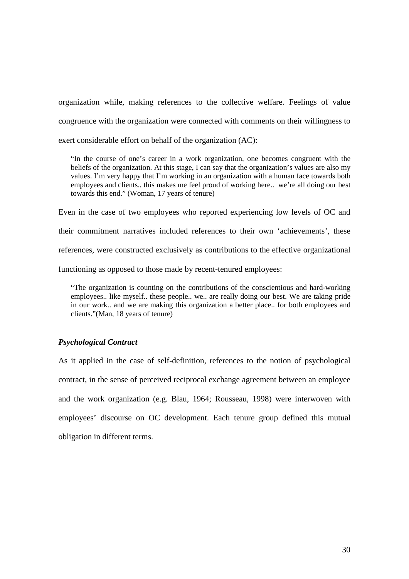organization while, making references to the collective welfare. Feelings of value congruence with the organization were connected with comments on their willingness to exert considerable effort on behalf of the organization (AC):

"In the course of one's career in a work organization, one becomes congruent with the beliefs of the organization. At this stage, I can say that the organization's values are also my values. I'm very happy that I'm working in an organization with a human face towards both employees and clients.. this makes me feel proud of working here.. we're all doing our best towards this end." (Woman, 17 years of tenure)

Even in the case of two employees who reported experiencing low levels of OC and their commitment narratives included references to their own 'achievements', these references, were constructed exclusively as contributions to the effective organizational functioning as opposed to those made by recent-tenured employees:

"The organization is counting on the contributions of the conscientious and hard-working employees.. like myself.. these people.. we.. are really doing our best. We are taking pride in our work.. and we are making this organization a better place.. for both employees and clients."(Man, 18 years of tenure)

## *Psychological Contract*

As it applied in the case of self-definition, references to the notion of psychological contract, in the sense of perceived reciprocal exchange agreement between an employee and the work organization (e.g. Blau, 1964; Rousseau, 1998) were interwoven with employees' discourse on OC development. Each tenure group defined this mutual obligation in different terms.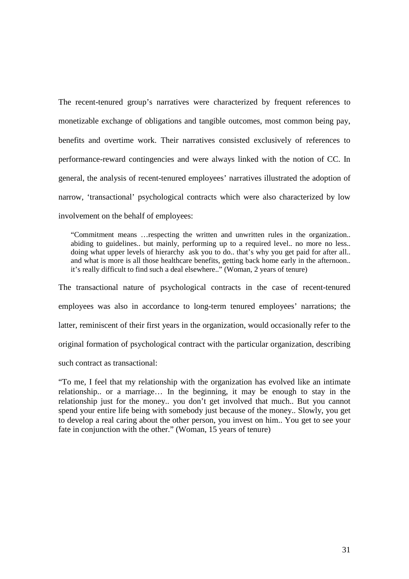The recent-tenured group's narratives were characterized by frequent references to monetizable exchange of obligations and tangible outcomes, most common being pay, benefits and overtime work. Τheir narratives consisted exclusively of references to performance-reward contingencies and were always linked with the notion of CC. In general, the analysis of recent-tenured employees' narratives illustrated the adoption of narrow, 'transactional' psychological contracts which were also characterized by low involvement on the behalf of employees:

"Commitment means …respecting the written and unwritten rules in the organization.. abiding to guidelines.. but mainly, performing up to a required level.. no more no less.. doing what upper levels of hierarchy ask you to do.. that's why you get paid for after all.. and what is more is all those healthcare benefits, getting back home early in the afternoon.. it's really difficult to find such a deal elsewhere.." (Woman, 2 years of tenure)

The transactional nature of psychological contracts in the case of recent-tenured employees was also in accordance to long-term tenured employees' narrations; the latter, reminiscent of their first years in the organization, would occasionally refer to the original formation of psychological contract with the particular organization, describing such contract as transactional:

"To me, I feel that my relationship with the organization has evolved like an intimate relationship.. or a marriage… In the beginning, it may be enough to stay in the relationship just for the money.. you don't get involved that much.. But you cannot spend your entire life being with somebody just because of the money.. Slowly, you get to develop a real caring about the other person, you invest on him.. You get to see your fate in conjunction with the other." (Woman, 15 years of tenure)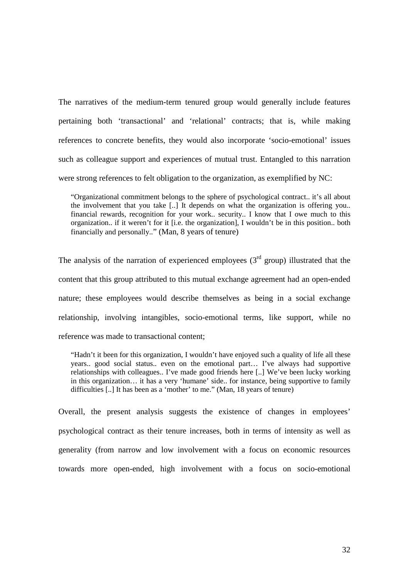The narratives of the medium-term tenured group would generally include features pertaining both 'transactional' and 'relational' contracts; that is, while making references to concrete benefits, they would also incorporate 'socio-emotional' issues such as colleague support and experiences of mutual trust. Entangled to this narration were strong references to felt obligation to the organization, as exemplified by NC:

"Organizational commitment belongs to the sphere of psychological contract.. it's all about the involvement that you take [..] It depends on what the organization is offering you.. financial rewards, recognition for your work.. security.. I know that I owe much to this organization.. if it weren't for it [i.e. the organization], I wouldn't be in this position.. both financially and personally.." (Man, 8 years of tenure)

The analysis of the narration of experienced employees  $(3<sup>rd</sup>$  group) illustrated that the content that this group attributed to this mutual exchange agreement had an open-ended nature; these employees would describe themselves as being in a social exchange relationship, involving intangibles, socio-emotional terms, like support, while no reference was made to transactional content;

"Hadn't it been for this organization, I wouldn't have enjoyed such a quality of life all these years.. good social status.. even on the emotional part… I've always had supportive relationships with colleagues.. I've made good friends here [..] We've been lucky working in this organization… it has a very 'humane' side.. for instance, being supportive to family difficulties [..] It has been as a 'mother' to me." (Man, 18 years of tenure)

Overall, the present analysis suggests the existence of changes in employees' psychological contract as their tenure increases, both in terms of intensity as well as generality (from narrow and low involvement with a focus on economic resources towards more open-ended, high involvement with a focus on socio-emotional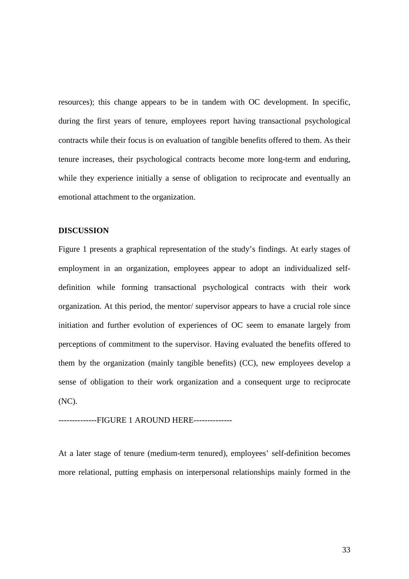resources); this change appears to be in tandem with OC development. In specific, during the first years of tenure, employees report having transactional psychological contracts while their focus is on evaluation of tangible benefits offered to them. As their tenure increases, their psychological contracts become more long-term and enduring, while they experience initially a sense of obligation to reciprocate and eventually an emotional attachment to the organization.

## **DISCUSSION**

Figure 1 presents a graphical representation of the study's findings. At early stages of employment in an organization, employees appear to adopt an individualized selfdefinition while forming transactional psychological contracts with their work organization. At this period, the mentor/ supervisor appears to have a crucial role since initiation and further evolution of experiences of OC seem to emanate largely from perceptions of commitment to the supervisor. Having evaluated the benefits offered to them by the organization (mainly tangible benefits) (CC), new employees develop a sense of obligation to their work organization and a consequent urge to reciprocate (NC).

#### *--------------*FIGURE 1 AROUND HERE--------------

At a later stage of tenure (medium-term tenured), employees' self-definition becomes more relational, putting emphasis on interpersonal relationships mainly formed in the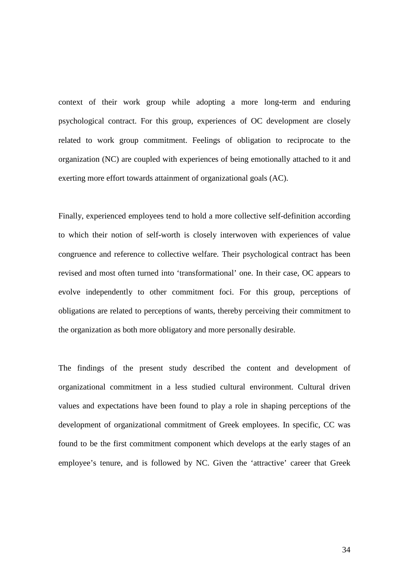context of their work group while adopting a more long-term and enduring psychological contract. For this group, experiences of OC development are closely related to work group commitment. Feelings of obligation to reciprocate to the organization (NC) are coupled with experiences of being emotionally attached to it and exerting more effort towards attainment of organizational goals (AC).

Finally, experienced employees tend to hold a more collective self-definition according to which their notion of self-worth is closely interwoven with experiences of value congruence and reference to collective welfare. Their psychological contract has been revised and most often turned into 'transformational' one. In their case, OC appears to evolve independently to other commitment foci. For this group, perceptions of obligations are related to perceptions of wants, thereby perceiving their commitment to the organization as both more obligatory and more personally desirable.

The findings of the present study described the content and development of organizational commitment in a less studied cultural environment. Cultural driven values and expectations have been found to play a role in shaping perceptions of the development of organizational commitment of Greek employees. In specific, CC was found to be the first commitment component which develops at the early stages of an employee's tenure, and is followed by NC. Given the 'attractive' career that Greek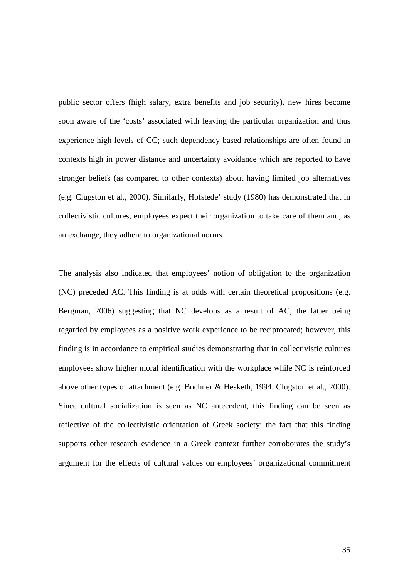public sector offers (high salary, extra benefits and job security), new hires become soon aware of the 'costs' associated with leaving the particular organization and thus experience high levels of CC; such dependency-based relationships are often found in contexts high in power distance and uncertainty avoidance which are reported to have stronger beliefs (as compared to other contexts) about having limited job alternatives (e.g. Clugston et al., 2000). Similarly, Hofstede' study (1980) has demonstrated that in collectivistic cultures, employees expect their organization to take care of them and, as an exchange, they adhere to organizational norms.

The analysis also indicated that employees' notion of obligation to the organization (NC) preceded AC. This finding is at odds with certain theoretical propositions (e.g. Bergman, 2006) suggesting that NC develops as a result of AC, the latter being regarded by employees as a positive work experience to be reciprocated; however, this finding is in accordance to empirical studies demonstrating that in collectivistic cultures employees show higher moral identification with the workplace while NC is reinforced above other types of attachment (e.g. Bochner & Hesketh, 1994. Clugston et al., 2000). Since cultural socialization is seen as NC antecedent, this finding can be seen as reflective of the collectivistic orientation of Greek society; the fact that this finding supports other research evidence in a Greek context further corroborates the study's argument for the effects of cultural values on employees' organizational commitment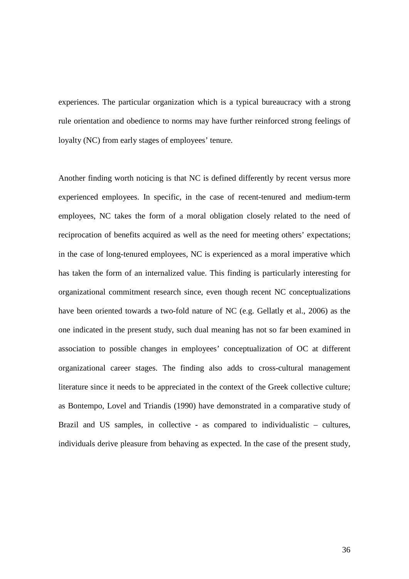experiences. The particular organization which is a typical bureaucracy with a strong rule orientation and obedience to norms may have further reinforced strong feelings of loyalty (NC) from early stages of employees' tenure.

Another finding worth noticing is that NC is defined differently by recent versus more experienced employees. In specific, in the case of recent-tenured and medium-term employees, NC takes the form of a moral obligation closely related to the need of reciprocation of benefits acquired as well as the need for meeting others' expectations; in the case of long-tenured employees, NC is experienced as a moral imperative which has taken the form of an internalized value. This finding is particularly interesting for organizational commitment research since, even though recent NC conceptualizations have been oriented towards a two-fold nature of NC (e.g. Gellatly et al., 2006) as the one indicated in the present study, such dual meaning has not so far been examined in association to possible changes in employees' conceptualization of OC at different organizational career stages. The finding also adds to cross-cultural management literature since it needs to be appreciated in the context of the Greek collective culture; as Bontempo, Lovel and Triandis (1990) have demonstrated in a comparative study of Brazil and US samples, in collective - as compared to individualistic – cultures, individuals derive pleasure from behaving as expected. In the case of the present study,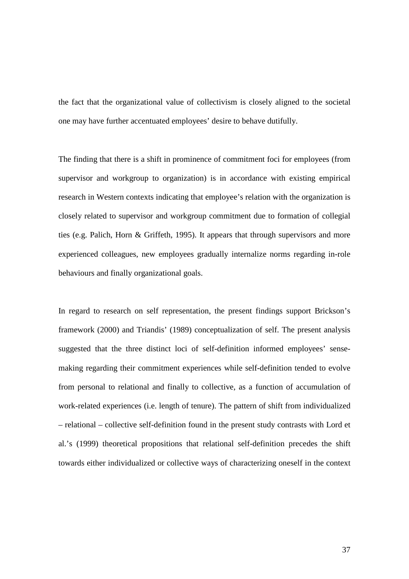the fact that the organizational value of collectivism is closely aligned to the societal one may have further accentuated employees' desire to behave dutifully.

The finding that there is a shift in prominence of commitment foci for employees (from supervisor and workgroup to organization) is in accordance with existing empirical research in Western contexts indicating that employee's relation with the organization is closely related to supervisor and workgroup commitment due to formation of collegial ties (e.g. Palich, Horn & Griffeth, 1995). It appears that through supervisors and more experienced colleagues, new employees gradually internalize norms regarding in-role behaviours and finally organizational goals.

In regard to research on self representation, the present findings support Brickson's framework (2000) and Triandis' (1989) conceptualization of self. The present analysis suggested that the three distinct loci of self-definition informed employees' sensemaking regarding their commitment experiences while self-definition tended to evolve from personal to relational and finally to collective, as a function of accumulation of work-related experiences (i.e. length of tenure). The pattern of shift from individualized – relational – collective self-definition found in the present study contrasts with Lord et al.'s (1999) theoretical propositions that relational self-definition precedes the shift towards either individualized or collective ways of characterizing oneself in the context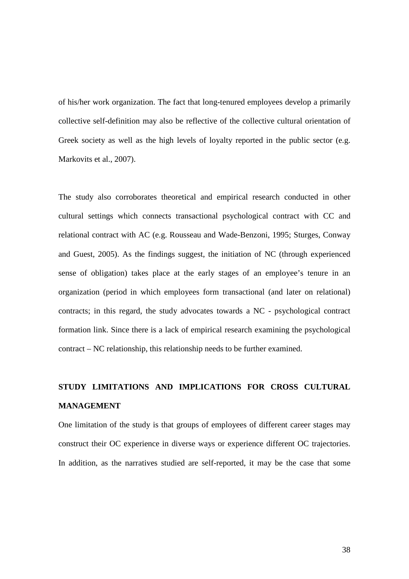of his/her work organization. The fact that long-tenured employees develop a primarily collective self-definition may also be reflective of the collective cultural orientation of Greek society as well as the high levels of loyalty reported in the public sector (e.g. Markovits et al., 2007).

The study also corroborates theoretical and empirical research conducted in other cultural settings which connects transactional psychological contract with CC and relational contract with AC (e.g. Rousseau and Wade-Benzoni, 1995; Sturges, Conway and Guest, 2005). As the findings suggest, the initiation of NC (through experienced sense of obligation) takes place at the early stages of an employee's tenure in an organization (period in which employees form transactional (and later on relational) contracts; in this regard, the study advocates towards a NC - psychological contract formation link. Since there is a lack of empirical research examining the psychological contract – NC relationship, this relationship needs to be further examined.

# **STUDY LIMITATIONS AND IMPLICATIONS FOR CROSS CULTURAL MANAGEMENT**

One limitation of the study is that groups of employees of different career stages may construct their OC experience in diverse ways or experience different OC trajectories. In addition, as the narratives studied are self-reported, it may be the case that some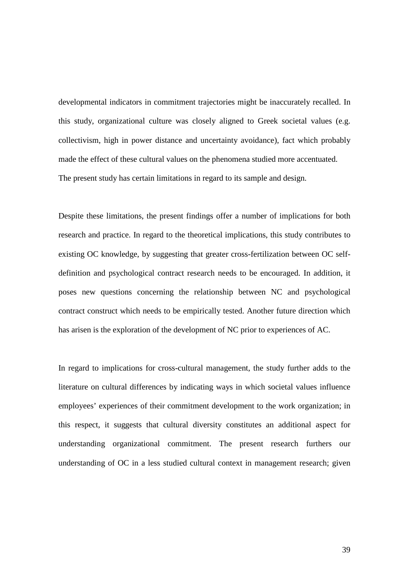developmental indicators in commitment trajectories might be inaccurately recalled. In this study, organizational culture was closely aligned to Greek societal values (e.g. collectivism, high in power distance and uncertainty avoidance), fact which probably made the effect of these cultural values on the phenomena studied more accentuated. The present study has certain limitations in regard to its sample and design.

Despite these limitations, the present findings offer a number of implications for both research and practice. In regard to the theoretical implications, this study contributes to existing OC knowledge, by suggesting that greater cross-fertilization between OC selfdefinition and psychological contract research needs to be encouraged. In addition, it poses new questions concerning the relationship between NC and psychological contract construct which needs to be empirically tested. Another future direction which has arisen is the exploration of the development of NC prior to experiences of AC.

In regard to implications for cross-cultural management, the study further adds to the literature on cultural differences by indicating ways in which societal values influence employees' experiences of their commitment development to the work organization; in this respect, it suggests that cultural diversity constitutes an additional aspect for understanding organizational commitment. The present research furthers our understanding of OC in a less studied cultural context in management research; given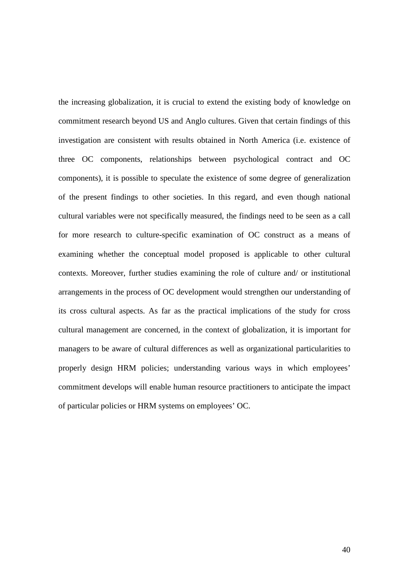the increasing globalization, it is crucial to extend the existing body of knowledge on commitment research beyond US and Anglo cultures. Given that certain findings of this investigation are consistent with results obtained in North America (i.e. existence of three OC components, relationships between psychological contract and OC components), it is possible to speculate the existence of some degree of generalization of the present findings to other societies. In this regard, and even though national cultural variables were not specifically measured, the findings need to be seen as a call for more research to culture-specific examination of OC construct as a means of examining whether the conceptual model proposed is applicable to other cultural contexts. Moreover, further studies examining the role of culture and/ or institutional arrangements in the process of OC development would strengthen our understanding of its cross cultural aspects. As far as the practical implications of the study for cross cultural management are concerned, in the context of globalization, it is important for managers to be aware of cultural differences as well as organizational particularities to properly design HRM policies; understanding various ways in which employees' commitment develops will enable human resource practitioners to anticipate the impact of particular policies or HRM systems on employees' OC.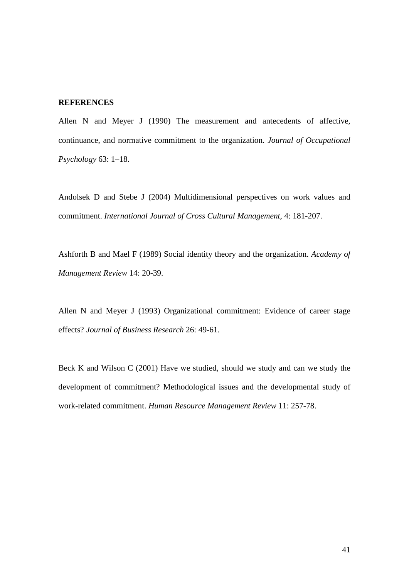## **REFERENCES**

Allen N and Meyer J (1990) The measurement and antecedents of affective, continuance, and normative commitment to the organization. *Journal of Occupational Psychology* 63: 1–18.

Andolsek D and Stebe J (2004) Multidimensional perspectives on work values and commitment. *International Journal of Cross Cultural Management*, 4: 181-207.

Ashforth B and Mael F (1989) Social identity theory and the organization. *Academy of Management Review* 14: 20-39.

Allen N and Meyer J (1993) Organizational commitment: Evidence of career stage effects? *Journal of Business Research* 26: 49-61.

Beck K and Wilson C (2001) Have we studied, should we study and can we study the development of commitment? Methodological issues and the developmental study of work-related commitment. *Human Resource Management Review* 11: 257-78.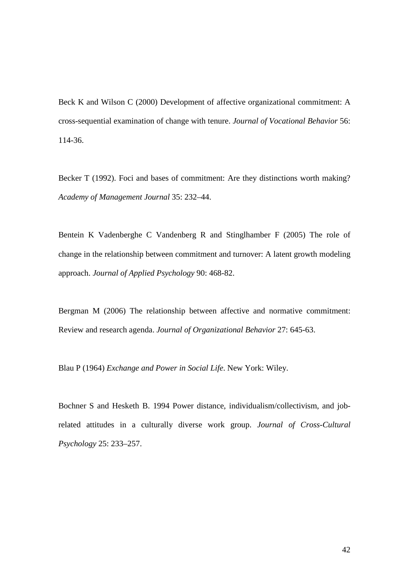Beck K and Wilson C (2000) Development of affective organizational commitment: A cross-sequential examination of change with tenure. *Journal of Vocational Behavior* 56: 114-36.

Becker T (1992). Foci and bases of commitment: Are they distinctions worth making? *Academy of Management Journal* 35: 232–44.

Bentein K Vadenberghe C Vandenberg R and Stinglhamber F (2005) The role of change in the relationship between commitment and turnover: A latent growth modeling approach. *Journal of Applied Psychology* 90: 468-82.

Bergman M (2006) The relationship between affective and normative commitment: Review and research agenda. *Journal of Organizational Behavior* 27: 645-63.

Blau P (1964) *Exchange and Power in Social Life*. New York: Wiley.

Bochner S and Hesketh B. 1994 Power distance, individualism/collectivism, and jobrelated attitudes in a culturally diverse work group. *Journal of Cross-Cultural Psychology* 25: 233–257.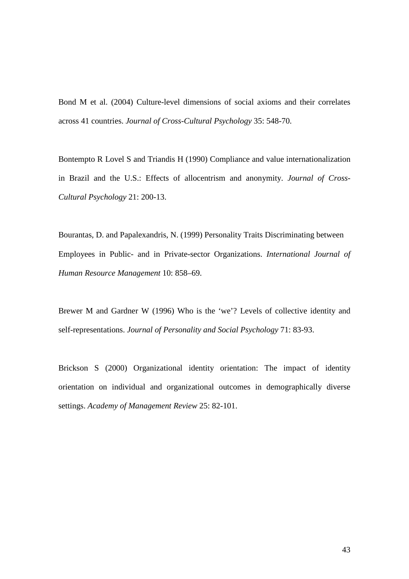Bond M et al. (2004) Culture-level dimensions of social axioms and their correlates across 41 countries. *Journal of Cross-Cultural Psychology* 35: 548-70.

Bontempto R Lovel S and Triandis H (1990) Compliance and value internationalization in Brazil and the U.S.: Effects of allocentrism and anonymity. *Journal of Cross-Cultural Psychology* 21: 200-13.

Bourantas, D. and Papalexandris, N. (1999) Personality Traits Discriminating between Employees in Public- and in Private-sector Organizations. *International Journal of Human Resource Management* 10: 858–69.

Brewer M and Gardner W (1996) Who is the 'we'? Levels of collective identity and self-representations. *Journal of Personality and Social Psychology* 71: 83-93.

Brickson S (2000) Organizational identity orientation: The impact of identity orientation on individual and organizational outcomes in demographically diverse settings. *Academy of Management Review* 25: 82-101.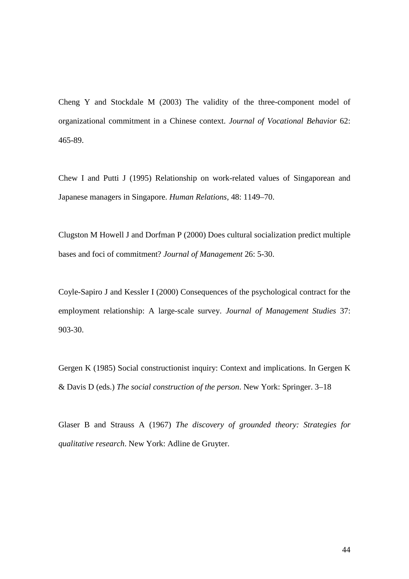Cheng Y and Stockdale M (2003) The validity of the three-component model of organizational commitment in a Chinese context. *Journal of Vocational Behavior* 62: 465-89.

Chew I and Putti J (1995) Relationship on work-related values of Singaporean and Japanese managers in Singapore. *Human Relations,* 48: 1149–70.

Clugston M Howell J and Dorfman P (2000) Does cultural socialization predict multiple bases and foci of commitment? *Journal of Management* 26: 5-30.

Coyle-Sapiro J and Kessler I (2000) Consequences of the psychological contract for the employment relationship: A large-scale survey. *Journal of Management Studies* 37: 903-30.

Gergen K (1985) Social constructionist inquiry: Context and implications. In Gergen K & Davis D (eds.) *The social construction of the person*. New York: Springer. 3–18

Glaser B and Strauss A (1967) *The discovery of grounded theory: Strategies for qualitative research*. New York: Adline de Gruyter.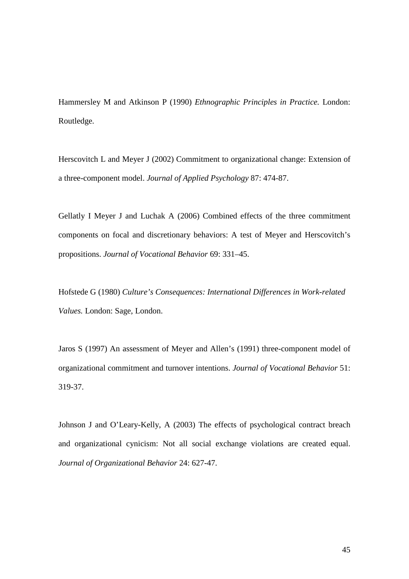Hammersley M and Atkinson P (1990) *Ethnographic Principles in Practice.* London: Routledge.

Herscovitch L and Meyer J (2002) Commitment to organizational change: Extension of a three-component model. *Journal of Applied Psychology* 87: 474-87.

Gellatly I Meyer J and Luchak A (2006) Combined effects of the three commitment components on focal and discretionary behaviors: A test of Meyer and Herscovitch's propositions. *Journal of Vocational Behavior* 69: 331–45.

Hofstede G (1980) *Culture's Consequences: International Differences in Work-related Values.* London: Sage, London.

Jaros S (1997) An assessment of Meyer and Allen's (1991) three-component model of organizational commitment and turnover intentions. *Journal of Vocational Behavior* 51: 319-37.

Johnson J and O'Leary-Kelly, A (2003) The effects of psychological contract breach and organizational cynicism: Not all social exchange violations are created equal. *Journal of Organizational Behavior* 24: 627-47.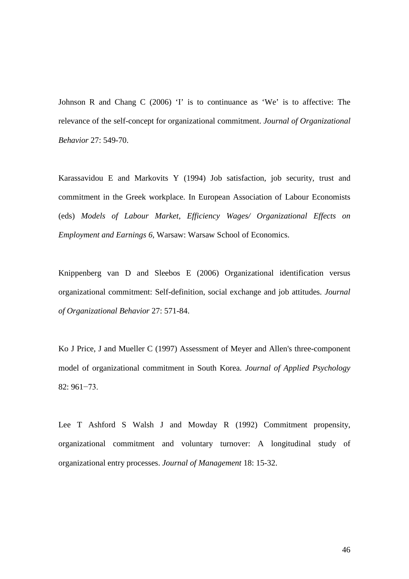Johnson R and Chang C (2006) 'I' is to continuance as 'We' is to affective: The relevance of the self-concept for organizational commitment. *Journal of Organizational Behavior* 27: 549-70.

Karassavidou E and Markovits Y (1994) Job satisfaction, job security, trust and commitment in the Greek workplace. In European Association of Labour Economists (eds) *Models of Labour Market, Efficiency Wages/ Organizational Effects on Employment and Earnings 6,* Warsaw: Warsaw School of Economics.

Knippenberg van D and Sleebos E (2006) Organizational identification versus organizational commitment: Self-definition, social exchange and job attitudes. *Journal of Organizational Behavior* 27: 571-84.

Ko J Price, J and Mueller C (1997) Assessment of Meyer and Allen's three-component model of organizational commitment in South Korea. *Journal of Applied Psychology* 82: 961−73.

Lee T Ashford S Walsh J and Mowday R (1992) Commitment propensity, organizational commitment and voluntary turnover: A longitudinal study of organizational entry processes. *Journal of Management* 18: 15-32.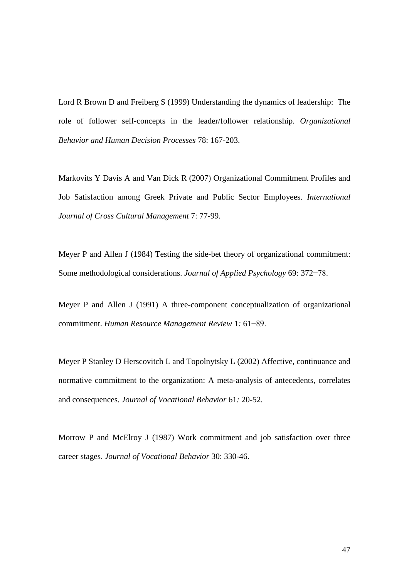Lord R Brown D and Freiberg S (1999) Understanding the dynamics of leadership: The role of follower self-concepts in the leader/follower relationship. *Organizational Behavior and Human Decision Processes* 78: 167-203.

Markovits Y Davis A and Van Dick R (2007) Organizational Commitment Profiles and Job Satisfaction among Greek Private and Public Sector Employees. *International Journal of Cross Cultural Management* 7: 77-99.

Meyer P and Allen J (1984) Testing the side-bet theory of organizational commitment: Some methodological considerations. *Journal of Applied Psychology* 69: 372−78.

Meyer P and Allen J (1991) A three-component conceptualization of organizational commitment. *Human Resource Management Review* 1*:* 61−89.

Meyer P Stanley D Herscovitch L and Topolnytsky L (2002) Affective, continuance and normative commitment to the organization: A meta-analysis of antecedents, correlates and consequences. *Journal of Vocational Behavior* 61*:* 20-52.

Morrow P and McElroy J (1987) Work commitment and job satisfaction over three career stages. *Journal of Vocational Behavior* 30: 330-46.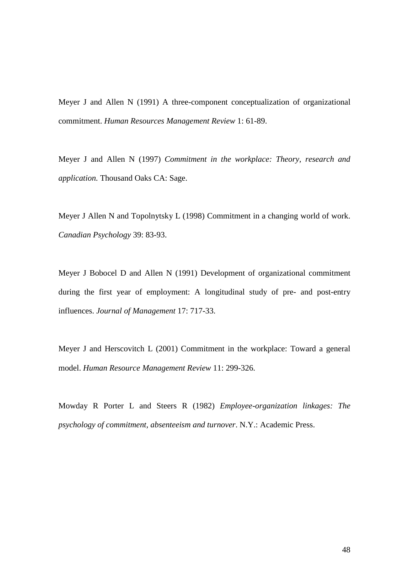Meyer J and Allen N (1991) A three-component conceptualization of organizational commitment. *Human Resources Management Review* 1: 61-89.

Meyer J and Allen N (1997) *Commitment in the workplace: Theory, research and application.* Thousand Oaks CA: Sage.

Meyer J Allen N and Topolnytsky L (1998) Commitment in a changing world of work. *Canadian Psychology* 39: 83-93.

Meyer J Bobocel D and Allen N (1991) Development of organizational commitment during the first year of employment: A longitudinal study of pre- and post-entry influences. *Journal of Management* 17: 717-33.

Meyer J and Herscovitch L (2001) Commitment in the workplace: Toward a general model. *Human Resource Management Review* 11: 299-326.

Mowday R Porter L and Steers R (1982) *Employee-organization linkages: The psychology of commitment, absenteeism and turnover*. N.Y.: Academic Press.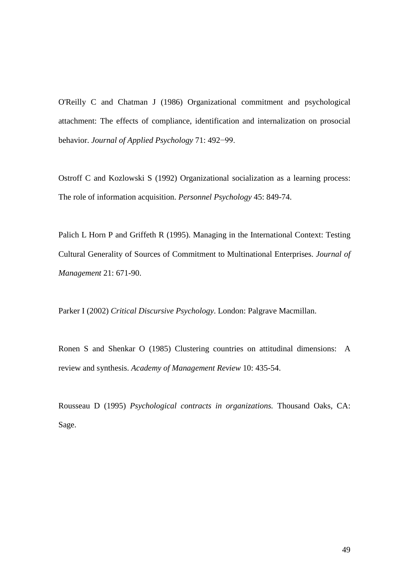O'Reilly C and Chatman J (1986) Organizational commitment and psychological attachment: The effects of compliance, identification and internalization on prosocial behavior. *Journal of Applied Psychology* 71: 492−99.

Ostroff C and Kozlowski S (1992) Organizational socialization as a learning process: The role of information acquisition. *Personnel Psychology* 45: 849-74.

Palich L Horn P and Griffeth R (1995). Managing in the International Context: Testing Cultural Generality of Sources of Commitment to Multinational Enterprises. *Journal of Management* 21: 671-90.

Parker I (2002) *[Critical Discursive Psychology](http://www.waterstones.com/waterstonesweb/displayProductDetails.do?sku=4914916)*. London: Palgrave Macmillan.

Ronen S and Shenkar O (1985) Clustering countries on attitudinal dimensions: A review and synthesis. *Academy of Management Review* 10: 435-54.

Rousseau D (1995) *Psychological contracts in organizations.* Thousand Oaks, CA: Sage.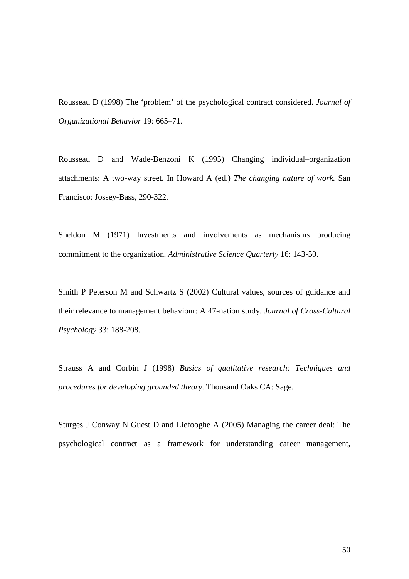Rousseau D (1998) The 'problem' of the psychological contract considered. *Journal of Organizational Behavior* 19: 665–71.

Rousseau D and Wade-Benzoni K (1995) Changing individual–organization attachments: A two-way street. In Howard A (ed.) *The changing nature of work.* San Francisco: Jossey-Bass, 290-322.

Sheldon M (1971) Investments and involvements as mechanisms producing commitment to the organization. *Administrative Science Quarterly* 16: 143-50.

Smith P Peterson M and Schwartz S (2002) Cultural values, sources of guidance and their relevance to management behaviour: A 47-nation study. *Journal of Cross-Cultural Psychology* 33: 188-208.

Strauss A and Corbin J (1998) *Basics of qualitative research: Techniques and procedures for developing grounded theory*. Thousand Oaks CA: Sage.

Sturges J Conway N Guest D and Liefooghe A (2005) Managing the career deal: The psychological contract as a framework for understanding career management,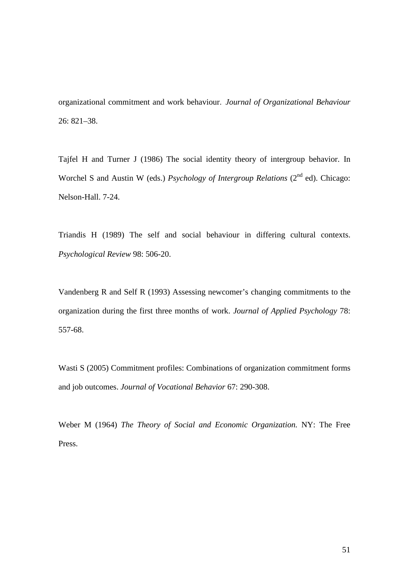organizational commitment and work behaviour. *Journal of Organizational Behaviour* 26: 821–38.

Tajfel H and Turner J (1986) The social identity theory of intergroup behavior. In Worchel S and Austin W (eds.) *Psychology of Intergroup Relations* (2<sup>nd</sup> ed). Chicago: Nelson-Hall. 7-24.

Triandis H (1989) The self and social behaviour in differing cultural contexts. *Psychological Review* 98: 506-20.

Vandenberg R and Self R (1993) Assessing newcomer's changing commitments to the organization during the first three months of work. *Journal of Applied Psychology* 78: 557-68.

Wasti S (2005) Commitment profiles: Combinations of organization commitment forms and job outcomes. *Journal of Vocational Behavior* 67: 290-308.

Weber M (1964) *The Theory of Social and Economic Organization.* NY: The Free Press.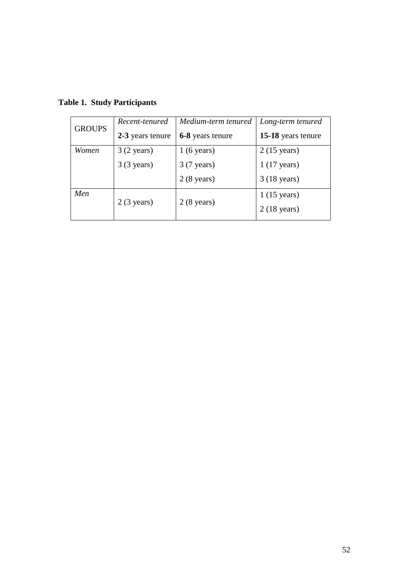| <b>GROUPS</b> | Recent-tenured       | Medium-term tenured  | Long-term tenured     |
|---------------|----------------------|----------------------|-----------------------|
|               | 2-3 years tenure     | 6-8 years tenure     | 15-18 years tenure    |
| Women         | $3(2 \text{ years})$ | $1(6 \text{ years})$ | $2(15 \text{ years})$ |
|               | $3(3 \text{ years})$ | 3 (7 years)          | $1(17 \text{ years})$ |
|               |                      | $2(8 \text{ years})$ | $3(18 \text{ years})$ |
| Men           | $2(3 \text{ years})$ | $2(8 \text{ years})$ | $1(15 \text{ years})$ |
|               |                      |                      | $2(18 \text{ years})$ |

**Table 1. Study Participants**